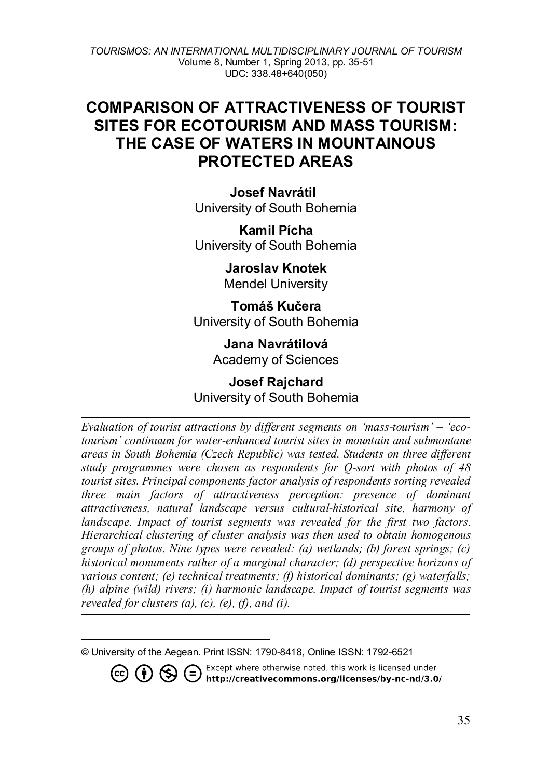# **COMPARISON OF ATTRACTIVENESS OF TOURIST SITES FOR ECOTOURISM AND MASS TOURISM: THE CASE OF WATERS IN MOUNTAINOUS PROTECTED AREAS**

**Josef Navrátil[1](#page-0-0)** University of South Bohemia

**Kamil Pícha** University of South Bohemia

> **Jaroslav Knotek** Mendel University

**Tomáš Kučera** University of South Bohemia

> **Jana Navrátilová** Academy of Sciences

# **Josef Rajchard** University of South Bohemia

*Evaluation of tourist attractions by different segments on 'mass-tourism' – 'ecotourism' continuum for water-enhanced tourist sites in mountain and submontane areas in South Bohemia (Czech Republic) was tested. Students on three different study programmes were chosen as respondents for Q-sort with photos of 48 tourist sites. Principal components factor analysis of respondents sorting revealed three main factors of attractiveness perception: presence of dominant attractiveness, natural landscape versus cultural-historical site, harmony of*  landscape. Impact of tourist segments was revealed for the first two factors. *Hierarchical clustering of cluster analysis was then used to obtain homogenous groups of photos. Nine types were revealed: (a) wetlands; (b) forest springs; (c) historical monuments rather of a marginal character; (d) perspective horizons of various content; (e) technical treatments; (f) historical dominants; (g) waterfalls; (h) alpine (wild) rivers; (i) harmonic landscape. Impact of tourist segments was revealed for clusters (a), (c), (e), (f), and (i).*

Except where otherwise noted, this work is licensed under **© ① S** ● Except where otherwise noted, this work is licensed under<br>http://creativecommons.org/licenses/by-nc-nd/3.0/

<span id="page-0-0"></span> $\overline{a}$ © University of the Aegean. Print ISSN: 1790-8418, Online ISSN: 1792-6521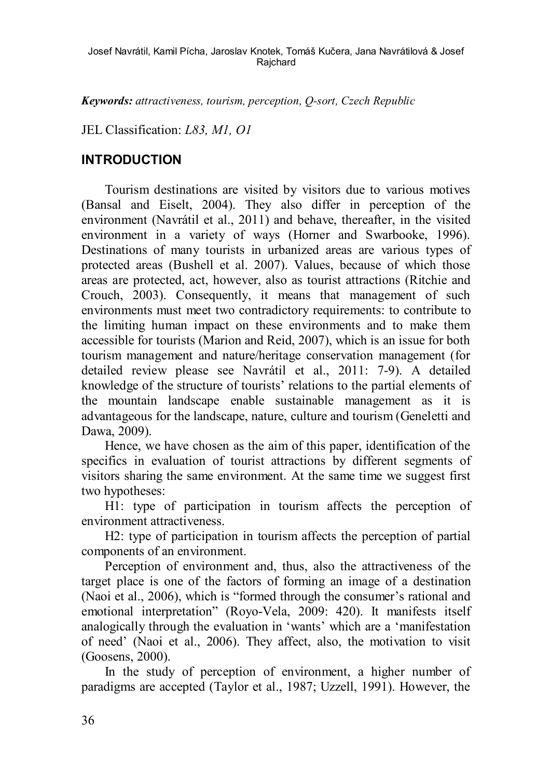Josef Navrátil, Kamil Pícha, Jaroslav Knotek, Tomáš Kučera, Jana Navrátilová & Josef **Raichard** 

*Keywords: attractiveness, tourism, perception, Q-sort, Czech Republic*

#### JEL Classification: *L83, M1, O1*

### **INTRODUCTION**

Tourism destinations are visited by visitors due to various motives (Bansal and Eiselt, 2004). They also differ in perception of the environment (Navrátil et al., 2011) and behave, thereafter, in the visited environment in a variety of ways (Horner and Swarbooke, 1996). Destinations of many tourists in urbanized areas are various types of protected areas (Bushell et al. 2007). Values, because of which those areas are protected, act, however, also as tourist attractions (Ritchie and Crouch, 2003). Consequently, it means that management of such environments must meet two contradictory requirements: to contribute to the limiting human impact on these environments and to make them accessible for tourists (Marion and Reid, 2007), which is an issue for both tourism management and nature/heritage conservation management (for detailed review please see Navrátil et al., 2011: 7-9). A detailed knowledge of the structure of tourists' relations to the partial elements of the mountain landscape enable sustainable management as it is advantageous for the landscape, nature, culture and tourism (Geneletti and Dawa, 2009).

Hence, we have chosen as the aim of this paper, identification of the specifics in evaluation of tourist attractions by different segments of visitors sharing the same environment. At the same time we suggest first two hypotheses:

H1: type of participation in tourism affects the perception of environment attractiveness.

H2: type of participation in tourism affects the perception of partial components of an environment.

Perception of environment and, thus, also the attractiveness of the target place is one of the factors of forming an image of a destination (Naoi et al., 2006), which is "formed through the consumer's rational and emotional interpretation" (Royo-Vela, 2009: 420). It manifests itself analogically through the evaluation in 'wants' which are a 'manifestation of need' (Naoi et al., 2006). They affect, also, the motivation to visit (Goosens, 2000).

In the study of perception of environment, a higher number of paradigms are accepted (Taylor et al., 1987; Uzzell, 1991). However, the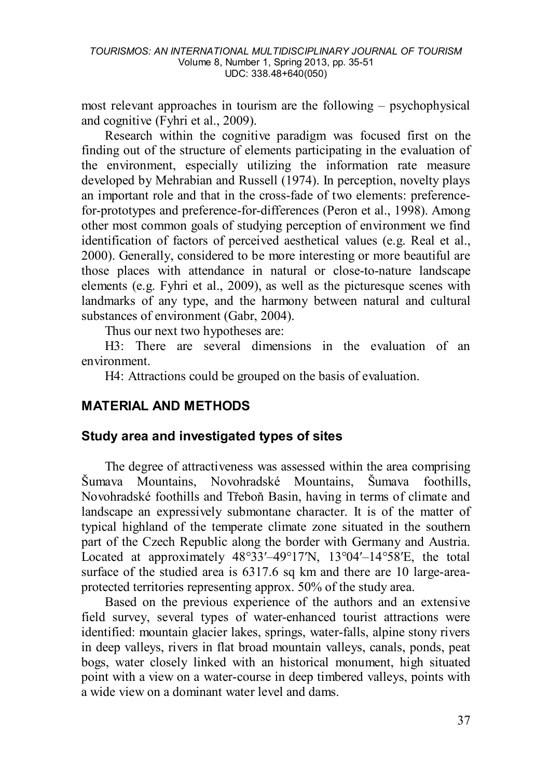most relevant approaches in tourism are the following – psychophysical and cognitive (Fyhri et al., 2009).

Research within the cognitive paradigm was focused first on the finding out of the structure of elements participating in the evaluation of the environment, especially utilizing the information rate measure developed by Mehrabian and Russell (1974). In perception, novelty plays an important role and that in the cross-fade of two elements: preferencefor-prototypes and preference-for-differences (Peron et al., 1998). Among other most common goals of studying perception of environment we find identification of factors of perceived aesthetical values (e.g. Real et al., 2000). Generally, considered to be more interesting or more beautiful are those places with attendance in natural or close-to-nature landscape elements (e.g. Fyhri et al., 2009), as well as the picturesque scenes with landmarks of any type, and the harmony between natural and cultural substances of environment (Gabr, 2004).

Thus our next two hypotheses are:

H3: There are several dimensions in the evaluation of an environment.

H4: Attractions could be grouped on the basis of evaluation.

# **MATERIAL AND METHODS**

# **Study area and investigated types of sites**

The degree of attractiveness was assessed within the area comprising Šumava Mountains, Novohradské Mountains, Šumava foothills, Novohradské foothills and Třeboň Basin, having in terms of climate and landscape an expressively submontane character. It is of the matter of typical highland of the temperate climate zone situated in the southern part of the Czech Republic along the border with Germany and Austria. Located at approximately  $48^{\circ}33' - 49^{\circ}17'N$ ,  $13^{\circ}04' - 14^{\circ}58'E$ , the total surface of the studied area is 6317.6 sq km and there are 10 large-areaprotected territories representing approx. 50% of the study area.

Based on the previous experience of the authors and an extensive field survey, several types of water-enhanced tourist attractions were identified: mountain glacier lakes, springs, water-falls, alpine stony rivers in deep valleys, rivers in flat broad mountain valleys, canals, ponds, peat bogs, water closely linked with an historical monument, high situated point with a view on a water-course in deep timbered valleys, points with a wide view on a dominant water level and dams.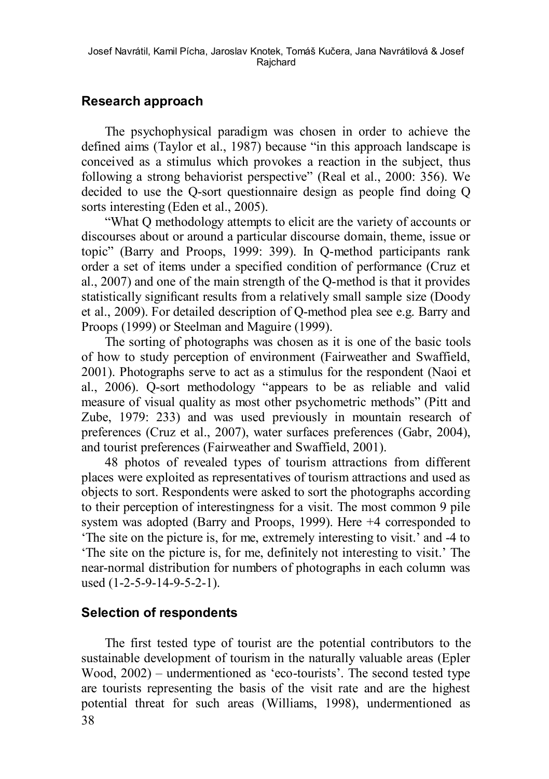# **Research approach**

The psychophysical paradigm was chosen in order to achieve the defined aims (Taylor et al., 1987) because "in this approach landscape is conceived as a stimulus which provokes a reaction in the subject, thus following a strong behaviorist perspective" (Real et al., 2000: 356). We decided to use the Q-sort questionnaire design as people find doing Q sorts interesting (Eden et al., 2005).

"What Q methodology attempts to elicit are the variety of accounts or discourses about or around a particular discourse domain, theme, issue or topic" (Barry and Proops, 1999: 399). In Q-method participants rank order a set of items under a specified condition of performance (Cruz et al., 2007) and one of the main strength of the Q-method is that it provides statistically significant results from a relatively small sample size (Doody et al., 2009). For detailed description of Q-method plea see e.g. Barry and Proops (1999) or Steelman and Maguire (1999).

The sorting of photographs was chosen as it is one of the basic tools of how to study perception of environment (Fairweather and Swaffield, 2001). Photographs serve to act as a stimulus for the respondent (Naoi et al., 2006). Q-sort methodology "appears to be as reliable and valid measure of visual quality as most other psychometric methods" (Pitt and Zube, 1979: 233) and was used previously in mountain research of preferences (Cruz et al., 2007), water surfaces preferences (Gabr, 2004), and tourist preferences (Fairweather and Swaffield, 2001).

48 photos of revealed types of tourism attractions from different places were exploited as representatives of tourism attractions and used as objects to sort. Respondents were asked to sort the photographs according to their perception of interestingness for a visit. The most common 9 pile system was adopted (Barry and Proops, 1999). Here +4 corresponded to 'The site on the picture is, for me, extremely interesting to visit.' and -4 to 'The site on the picture is, for me, definitely not interesting to visit.' The near-normal distribution for numbers of photographs in each column was used (1-2-5-9-14-9-5-2-1).

# **Selection of respondents**

38 The first tested type of tourist are the potential contributors to the sustainable development of tourism in the naturally valuable areas (Epler Wood, 2002) – undermentioned as 'eco-tourists'. The second tested type are tourists representing the basis of the visit rate and are the highest potential threat for such areas (Williams, 1998), undermentioned as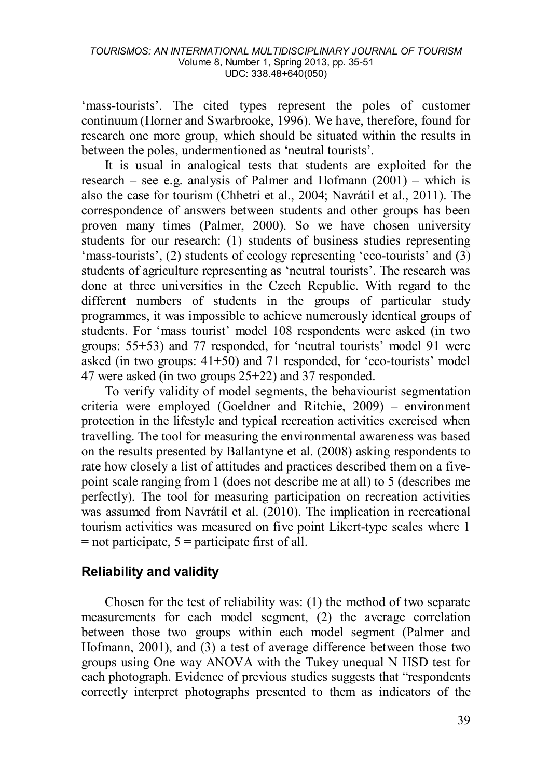'mass-tourists'. The cited types represent the poles of customer continuum (Horner and Swarbrooke, 1996). We have, therefore, found for research one more group, which should be situated within the results in between the poles, undermentioned as 'neutral tourists'.

It is usual in analogical tests that students are exploited for the research – see e.g. analysis of Palmer and Hofmann (2001) – which is also the case for tourism (Chhetri et al., 2004; Navrátil et al., 2011). The correspondence of answers between students and other groups has been proven many times (Palmer, 2000). So we have chosen university students for our research: (1) students of business studies representing 'mass-tourists', (2) students of ecology representing 'eco-tourists' and (3) students of agriculture representing as 'neutral tourists'. The research was done at three universities in the Czech Republic. With regard to the different numbers of students in the groups of particular study programmes, it was impossible to achieve numerously identical groups of students. For 'mass tourist' model 108 respondents were asked (in two groups: 55+53) and 77 responded, for 'neutral tourists' model 91 were asked (in two groups: 41+50) and 71 responded, for 'eco-tourists' model 47 were asked (in two groups 25+22) and 37 responded.

To verify validity of model segments, the behaviourist segmentation criteria were employed (Goeldner and Ritchie, 2009) – environment protection in the lifestyle and typical recreation activities exercised when travelling. The tool for measuring the environmental awareness was based on the results presented by Ballantyne et al. (2008) asking respondents to rate how closely a list of attitudes and practices described them on a fivepoint scale ranging from 1 (does not describe me at all) to 5 (describes me perfectly). The tool for measuring participation on recreation activities was assumed from Navrátil et al. (2010). The implication in recreational tourism activities was measured on five point Likert-type scales where 1  $=$  not participate,  $5 =$  participate first of all.

# **Reliability and validity**

Chosen for the test of reliability was: (1) the method of two separate measurements for each model segment, (2) the average correlation between those two groups within each model segment (Palmer and Hofmann, 2001), and (3) a test of average difference between those two groups using One way ANOVA with the Tukey unequal N HSD test for each photograph. Evidence of previous studies suggests that "respondents correctly interpret photographs presented to them as indicators of the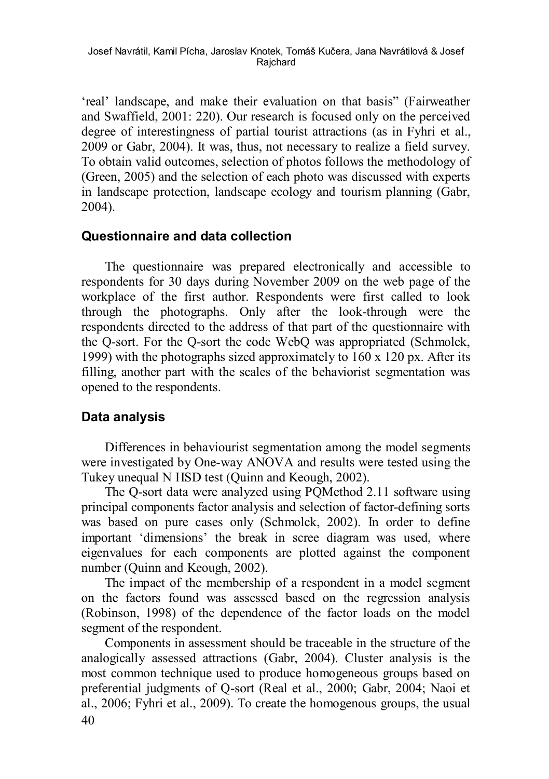'real' landscape, and make their evaluation on that basis" (Fairweather and Swaffield, 2001: 220). Our research is focused only on the perceived degree of interestingness of partial tourist attractions (as in Fyhri et al., 2009 or Gabr, 2004). It was, thus, not necessary to realize a field survey. To obtain valid outcomes, selection of photos follows the methodology of (Green, 2005) and the selection of each photo was discussed with experts in landscape protection, landscape ecology and tourism planning (Gabr, 2004).

### **Questionnaire and data collection**

The questionnaire was prepared electronically and accessible to respondents for 30 days during November 2009 on the web page of the workplace of the first author. Respondents were first called to look through the photographs. Only after the look-through were the respondents directed to the address of that part of the questionnaire with the Q-sort. For the Q-sort the code WebQ was appropriated (Schmolck, 1999) with the photographs sized approximately to 160 x 120 px. After its filling, another part with the scales of the behaviorist segmentation was opened to the respondents.

# **Data analysis**

Differences in behaviourist segmentation among the model segments were investigated by One-way ANOVA and results were tested using the Tukey unequal N HSD test (Quinn and Keough, 2002).

The Q-sort data were analyzed using PQMethod 2.11 software using principal components factor analysis and selection of factor-defining sorts was based on pure cases only (Schmolck, 2002). In order to define important 'dimensions' the break in scree diagram was used, where eigenvalues for each components are plotted against the component number (Quinn and Keough, 2002).

The impact of the membership of a respondent in a model segment on the factors found was assessed based on the regression analysis (Robinson, 1998) of the dependence of the factor loads on the model segment of the respondent.

40 Components in assessment should be traceable in the structure of the analogically assessed attractions (Gabr, 2004). Cluster analysis is the most common technique used to produce homogeneous groups based on preferential judgments of Q-sort (Real et al., 2000; Gabr, 2004; Naoi et al., 2006; Fyhri et al., 2009). To create the homogenous groups, the usual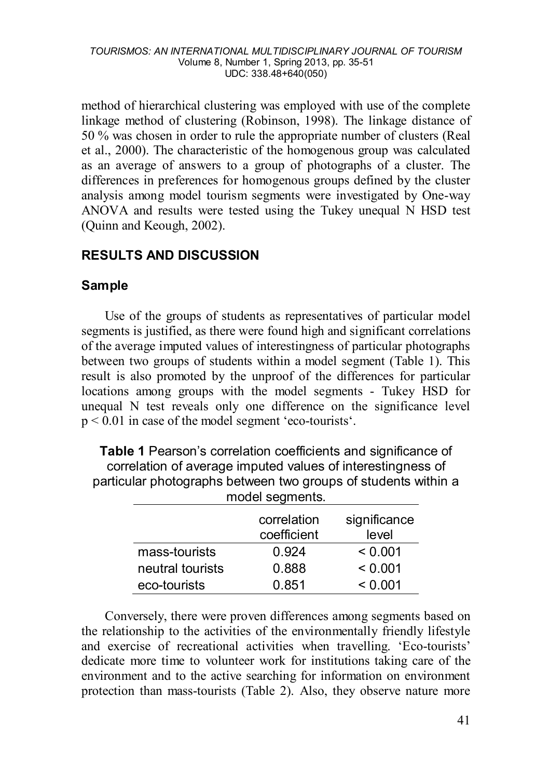method of hierarchical clustering was employed with use of the complete linkage method of clustering (Robinson, 1998). The linkage distance of 50 % was chosen in order to rule the appropriate number of clusters (Real et al., 2000). The characteristic of the homogenous group was calculated as an average of answers to a group of photographs of a cluster. The differences in preferences for homogenous groups defined by the cluster analysis among model tourism segments were investigated by One-way ANOVA and results were tested using the Tukey unequal N HSD test (Quinn and Keough, 2002).

# **RESULTS AND DISCUSSION**

# **Sample**

Use of the groups of students as representatives of particular model segments is justified, as there were found high and significant correlations of the average imputed values of interestingness of particular photographs between two groups of students within a model segment (Table 1). This result is also promoted by the unproof of the differences for particular locations among groups with the model segments - Tukey HSD for unequal N test reveals only one difference on the significance level  $p < 0.01$  in case of the model segment 'eco-tourists'.

**Table 1** Pearson's correlation coefficients and significance of correlation of average imputed values of interestingness of particular photographs between two groups of students within a model segments.

|                  | correlation<br>coefficient | significance<br>level |
|------------------|----------------------------|-----------------------|
| mass-tourists    | 0.924                      | < 0.001               |
| neutral tourists | 0.888                      | < 0.001               |
| eco-tourists     | 0.851                      | < 0.001               |

Conversely, there were proven differences among segments based on the relationship to the activities of the environmentally friendly lifestyle and exercise of recreational activities when travelling. 'Eco-tourists' dedicate more time to volunteer work for institutions taking care of the environment and to the active searching for information on environment protection than mass-tourists (Table 2). Also, they observe nature more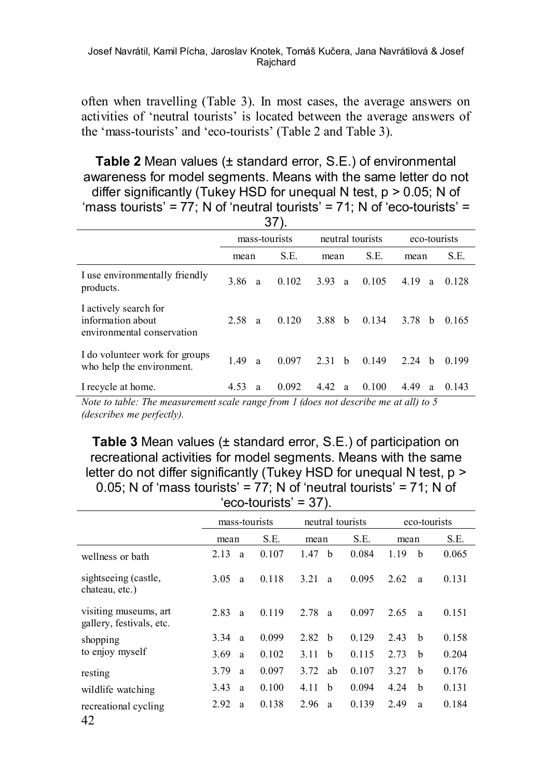often when travelling (Table 3). In most cases, the average answers on activities of 'neutral tourists' is located between the average answers of the 'mass-tourists' and 'eco-tourists' (Table 2 and Table 3).

### **Table 2** Mean values (± standard error, S.E.) of environmental awareness for model segments. Means with the same letter do not differ significantly (Tukey HSD for unequal N test,  $p > 0.05$ ; N of 'mass tourists' = 77; N of 'neutral tourists' = 71; N of 'eco-tourists' =

| 37)                                                                      |      |               |                  |      |   |              |      |   |       |  |
|--------------------------------------------------------------------------|------|---------------|------------------|------|---|--------------|------|---|-------|--|
|                                                                          |      | mass-tourists | neutral tourists |      |   | eco-tourists |      |   |       |  |
|                                                                          | mean |               | S.E.             | mean |   | S.E.         | mean |   | S.E.  |  |
| I use environmentally friendly<br>products.                              | 3.86 | a             | 0.102            | 3.93 | a | 0.105        | 4.19 | a | 0.128 |  |
| I actively search for<br>information about<br>environmental conservation | 2.58 | a             | 0.120            | 3.88 | b | 0.134        | 3.78 | b | 0.165 |  |
| I do volunteer work for groups<br>who help the environment.              | 1.49 | a             | 0.097            | 2.31 | b | 0.149        | 2.24 | h | 0.199 |  |
| I recycle at home.                                                       | 4.53 | a             | 0.092            | 4.42 | a | 0.100        | 4.49 | a | 0.143 |  |

*Note to table: The measurement scale range from 1 (does not describe me at all) to 5 (describes me perfectly).*

**Table 3** Mean values (± standard error, S.E.) of participation on recreational activities for model segments. Means with the same letter do not differ significantly (Tukey HSD for unequal N test, p > 0.05; N of 'mass tourists' =  $77$ : N of 'neutral tourists' =  $71$ : N of 'eco-tourists' = 37).

|                                                   | mass-tourists |       | neutral tourists     |       | eco-tourists |       |  |
|---------------------------------------------------|---------------|-------|----------------------|-------|--------------|-------|--|
|                                                   | mean          | S.E.  | mean                 | S.E.  | mean         | S.E.  |  |
| wellness or bath                                  | 2.13<br>a     | 0.107 | b<br>1.47            | 0.084 | b<br>1.19    | 0.065 |  |
| sightseeing (castle,<br>chateau, etc.)            | 3.05<br>a     | 0.118 | 3.21<br>a            | 0.095 | 2.62<br>a    | 0.131 |  |
| visiting museums, art<br>gallery, festivals, etc. | 2.83<br>a     | 0.119 | 2.78<br>a            | 0.097 | 2.65<br>a    | 0.151 |  |
| shopping                                          | 3.34<br>a     | 0.099 | 2.82<br>h            | 0.129 | b<br>2.43    | 0.158 |  |
| to enjoy myself                                   | 3.69<br>a     | 0.102 | 3.11<br>$\mathbf{h}$ | 0.115 | 2.73<br>b    | 0.204 |  |
| resting                                           | 3.79<br>a     | 0.097 | 3.72<br>ab           | 0.107 | 3.27<br>b    | 0.176 |  |
| wildlife watching                                 | 3.43<br>a     | 0.100 | b<br>4.11            | 0.094 | b<br>4.24    | 0.131 |  |
| recreational cycling<br>42                        | 2.92<br>a     | 0.138 | 2.96<br>a            | 0.139 | 2.49<br>a    | 0.184 |  |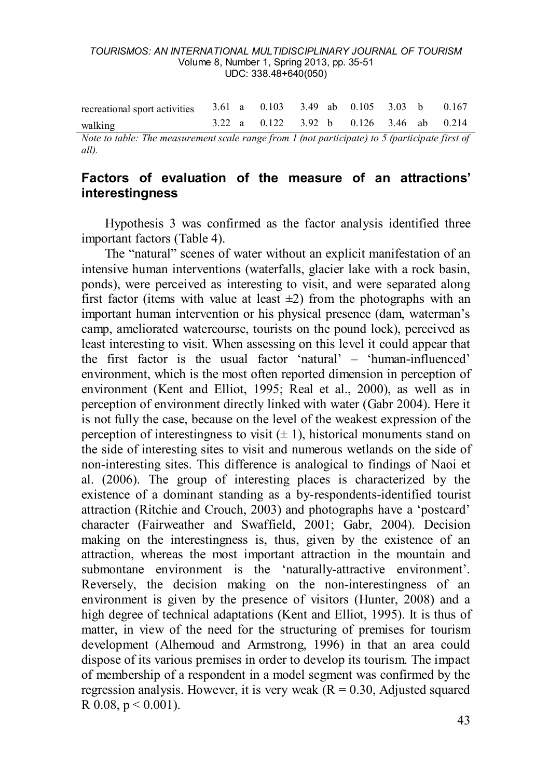| walking                                                                           |  | 3.22 a 0.122 3.92 b 0.126 3.46 ab 0.214 |  |  |  |
|-----------------------------------------------------------------------------------|--|-----------------------------------------|--|--|--|
| recreational sport activities $3.61$ a $0.103$ $3.49$ ab $0.105$ $3.03$ b $0.167$ |  |                                         |  |  |  |

*Note to table: The measurement scale range from 1 (not participate) to 5 (participate first of all).* 

# **Factors of evaluation of the measure of an attractions' interestingness**

Hypothesis 3 was confirmed as the factor analysis identified three important factors (Table 4).

The "natural" scenes of water without an explicit manifestation of an intensive human interventions (waterfalls, glacier lake with a rock basin, ponds), were perceived as interesting to visit, and were separated along first factor (items with value at least  $\pm 2$ ) from the photographs with an important human intervention or his physical presence (dam, waterman's camp, ameliorated watercourse, tourists on the pound lock), perceived as least interesting to visit. When assessing on this level it could appear that the first factor is the usual factor 'natural' – 'human-influenced' environment, which is the most often reported dimension in perception of environment (Kent and Elliot, 1995; Real et al., 2000), as well as in perception of environment directly linked with water (Gabr 2004). Here it is not fully the case, because on the level of the weakest expression of the perception of interestingness to visit  $(± 1)$ , historical monuments stand on the side of interesting sites to visit and numerous wetlands on the side of non-interesting sites. This difference is analogical to findings of Naoi et al. (2006). The group of interesting places is characterized by the existence of a dominant standing as a by-respondents-identified tourist attraction (Ritchie and Crouch, 2003) and photographs have a 'postcard' character (Fairweather and Swaffield, 2001; Gabr, 2004). Decision making on the interestingness is, thus, given by the existence of an attraction, whereas the most important attraction in the mountain and submontane environment is the 'naturally-attractive environment'. Reversely, the decision making on the non-interestingness of an environment is given by the presence of visitors (Hunter, 2008) and a high degree of technical adaptations (Kent and Elliot, 1995). It is thus of matter, in view of the need for the structuring of premises for tourism development (Alhemoud and Armstrong, 1996) in that an area could dispose of its various premises in order to develop its tourism. The impact of membership of a respondent in a model segment was confirmed by the regression analysis. However, it is very weak  $(R = 0.30,$  Adjusted squared R  $0.08$ ,  $p \le 0.001$ ).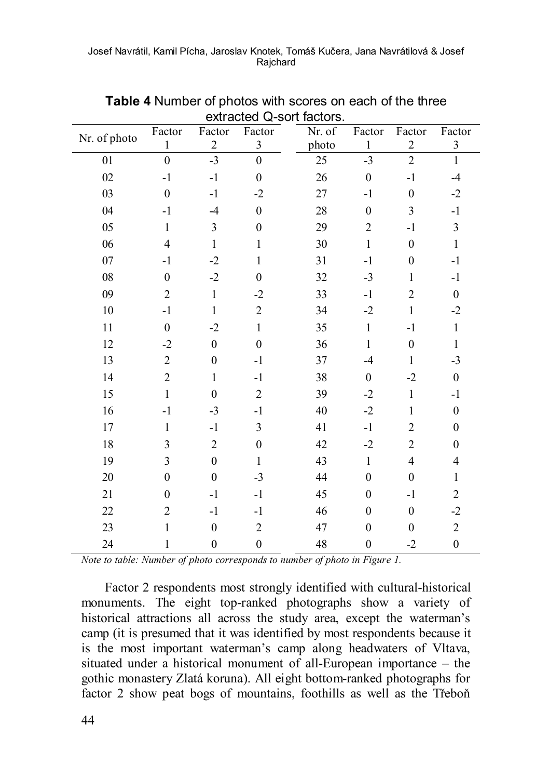| Nr. of photo | Factor         | Factor                  | Factor           | Nr. of | Factor           | Factor                  | Factor           |
|--------------|----------------|-------------------------|------------------|--------|------------------|-------------------------|------------------|
|              | $\mathbf{1}$   | $\overline{2}$          | $\mathfrak{Z}$   | photo  | $\mathbf{1}$     | $\mathbf 2$             | 3                |
| 01           | $\overline{0}$ | $-3$                    | $\boldsymbol{0}$ | 25     | $-3$             | $\overline{c}$          | $\mathbf{1}$     |
| 02           | $-1$           | $-1$                    | $\mathbf{0}$     | 26     | $\overline{0}$   | $-1$                    | $-4$             |
| 03           | $\mathbf{0}$   | $-1$                    | $-2$             | 27     | $-1$             | $\boldsymbol{0}$        | $-2$             |
| 04           | $-1$           | $-4$                    | $\boldsymbol{0}$ | 28     | $\boldsymbol{0}$ | 3                       | $-1$             |
| 05           | $\mathbf{1}$   | $\overline{\mathbf{3}}$ | $\boldsymbol{0}$ | 29     | $\overline{c}$   | $-1$                    | 3                |
| 06           | $\overline{4}$ | $\,1$                   | $\mathbf{1}$     | 30     | $\mathbf{1}$     | $\boldsymbol{0}$        | $\,1$            |
| 07           | $-1$           | $-2$                    | $\mathbf{1}$     | 31     | $-1$             | $\boldsymbol{0}$        | $-1$             |
| ${\bf 08}$   | $\mathbf{0}$   | $-2$                    | $\boldsymbol{0}$ | 32     | $-3$             | 1                       | $-1$             |
| 09           | $\overline{2}$ | $\mathbf{1}$            | $-2$             | 33     | $-1$             | $\overline{c}$          | $\boldsymbol{0}$ |
| 10           | $-1$           | $\mathbf{1}$            | $\overline{c}$   | 34     | $-2$             | $\,1$                   | $-2$             |
| 11           | $\mathbf{0}$   | $-2$                    | $\mathbf{1}$     | 35     | $\mathbf{1}$     | $-1$                    | $\mathbf{1}$     |
| 12           | $-2$           | $\boldsymbol{0}$        | $\boldsymbol{0}$ | 36     | $\mathbf{1}$     | $\boldsymbol{0}$        | $\mathbf{1}$     |
| 13           | $\overline{c}$ | $\boldsymbol{0}$        | $-1$             | 37     | $-4$             | $\,1$                   | $-3$             |
| 14           | $\overline{c}$ | $\mathbf{1}$            | $-1$             | 38     | $\boldsymbol{0}$ | $-2$                    | $\boldsymbol{0}$ |
| 15           | $\mathbf{1}$   | $\boldsymbol{0}$        | $\overline{c}$   | 39     | $-2$             | $\,1$                   | $-1$             |
| 16           | $-1$           | $-3$                    | $-1$             | 40     | $-2$             | $\mathbf{1}$            | $\boldsymbol{0}$ |
| 17           | 1              | $-1$                    | $\mathfrak{Z}$   | 41     | $-1$             | $\overline{c}$          | $\boldsymbol{0}$ |
| 18           | 3              | $\sqrt{2}$              | $\boldsymbol{0}$ | 42     | $-2$             | $\overline{c}$          | $\mathbf{0}$     |
| 19           | 3              | $\boldsymbol{0}$        | $\mathbf{1}$     | 43     | $\mathbf{1}$     | $\overline{\mathbf{4}}$ | 4                |
| 20           | $\mathbf{0}$   | $\boldsymbol{0}$        | $-3$             | 44     | $\boldsymbol{0}$ | $\boldsymbol{0}$        | $\mathbf{1}$     |
| 21           | $\overline{0}$ | $-1$                    | $-1$             | 45     | $\boldsymbol{0}$ | $-1$                    | $\overline{c}$   |
| 22           | $\overline{c}$ | $-1$                    | $-1$             | 46     | $\mathbf{0}$     | $\boldsymbol{0}$        | $-2$             |
| 23           | $\mathbf{1}$   | $\boldsymbol{0}$        | $\overline{c}$   | 47     | $\boldsymbol{0}$ | $\boldsymbol{0}$        | $\sqrt{2}$       |
| 24           | 1              | $\boldsymbol{0}$        | $\boldsymbol{0}$ | 48     | $\boldsymbol{0}$ | $-2$                    | $\boldsymbol{0}$ |

**Table 4** Number of photos with scores on each of the three  $\overline{\text{e}}$  avtracted  $\overline{\text{O}}$  sort factors.

*Note to table: Number of photo corresponds to number of photo in Figure 1.*

Factor 2 respondents most strongly identified with cultural-historical monuments. The eight top-ranked photographs show a variety of historical attractions all across the study area, except the waterman's camp (it is presumed that it was identified by most respondents because it is the most important waterman's camp along headwaters of Vltava, situated under a historical monument of all-European importance – the gothic monastery Zlatá koruna). All eight bottom-ranked photographs for factor 2 show peat bogs of mountains, foothills as well as the Třeboň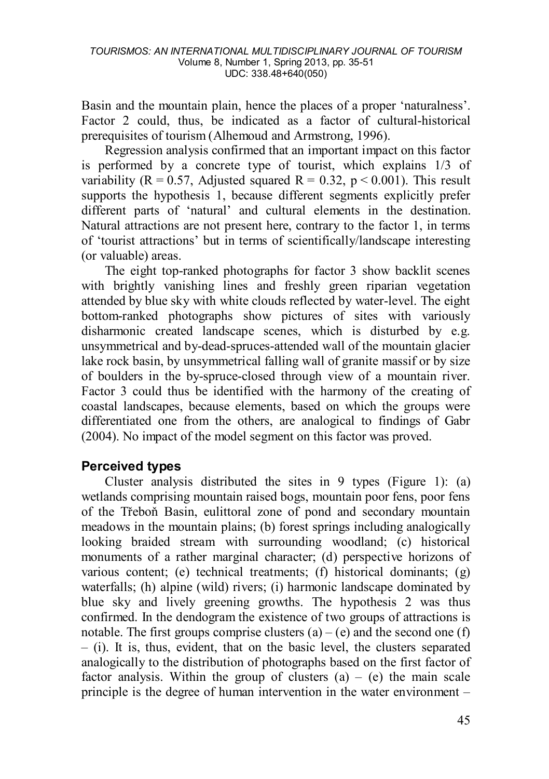Basin and the mountain plain, hence the places of a proper 'naturalness'. Factor 2 could, thus, be indicated as a factor of cultural-historical prerequisites of tourism (Alhemoud and Armstrong, 1996).

Regression analysis confirmed that an important impact on this factor is performed by a concrete type of tourist, which explains 1/3 of variability ( $R = 0.57$ , Adjusted squared  $R = 0.32$ ,  $p < 0.001$ ). This result supports the hypothesis 1, because different segments explicitly prefer different parts of 'natural' and cultural elements in the destination. Natural attractions are not present here, contrary to the factor 1, in terms of 'tourist attractions' but in terms of scientifically/landscape interesting (or valuable) areas.

The eight top-ranked photographs for factor 3 show backlit scenes with brightly vanishing lines and freshly green riparian vegetation attended by blue sky with white clouds reflected by water-level. The eight bottom-ranked photographs show pictures of sites with variously disharmonic created landscape scenes, which is disturbed by e.g. unsymmetrical and by-dead-spruces-attended wall of the mountain glacier lake rock basin, by unsymmetrical falling wall of granite massif or by size of boulders in the by-spruce-closed through view of a mountain river. Factor 3 could thus be identified with the harmony of the creating of coastal landscapes, because elements, based on which the groups were differentiated one from the others, are analogical to findings of Gabr (2004). No impact of the model segment on this factor was proved.

# **Perceived types**

Cluster analysis distributed the sites in 9 types (Figure 1): (a) wetlands comprising mountain raised bogs, mountain poor fens, poor fens of the Třeboň Basin, eulittoral zone of pond and secondary mountain meadows in the mountain plains; (b) forest springs including analogically looking braided stream with surrounding woodland; (c) historical monuments of a rather marginal character; (d) perspective horizons of various content; (e) technical treatments; (f) historical dominants; (g) waterfalls; (h) alpine (wild) rivers; (i) harmonic landscape dominated by blue sky and lively greening growths. The hypothesis 2 was thus confirmed. In the dendogram the existence of two groups of attractions is notable. The first groups comprise clusters  $(a) - (e)$  and the second one  $(f)$ – (i). It is, thus, evident, that on the basic level, the clusters separated analogically to the distribution of photographs based on the first factor of factor analysis. Within the group of clusters  $(a) - (e)$  the main scale principle is the degree of human intervention in the water environment –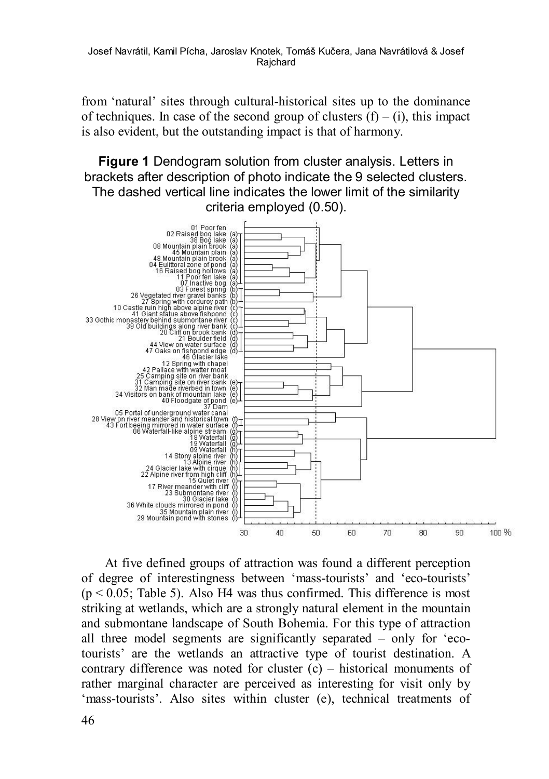Josef Navrátil, Kamil Pícha, Jaroslav Knotek, Tomáš Kučera, Jana Navrátilová & Josef **Raichard** 

from 'natural' sites through cultural-historical sites up to the dominance of techniques. In case of the second group of clusters  $(f) - (i)$ , this impact is also evident, but the outstanding impact is that of harmony.

**Figure 1** Dendogram solution from cluster analysis. Letters in brackets after description of photo indicate the 9 selected clusters. The dashed vertical line indicates the lower limit of the similarity criteria employed (0.50).



At five defined groups of attraction was found a different perception of degree of interestingness between 'mass-tourists' and 'eco-tourists'  $(p < 0.05$ ; Table 5). Also H4 was thus confirmed. This difference is most striking at wetlands, which are a strongly natural element in the mountain and submontane landscape of South Bohemia. For this type of attraction all three model segments are significantly separated – only for 'ecotourists' are the wetlands an attractive type of tourist destination. A contrary difference was noted for cluster (c) – historical monuments of rather marginal character are perceived as interesting for visit only by 'mass-tourists'. Also sites within cluster (e), technical treatments of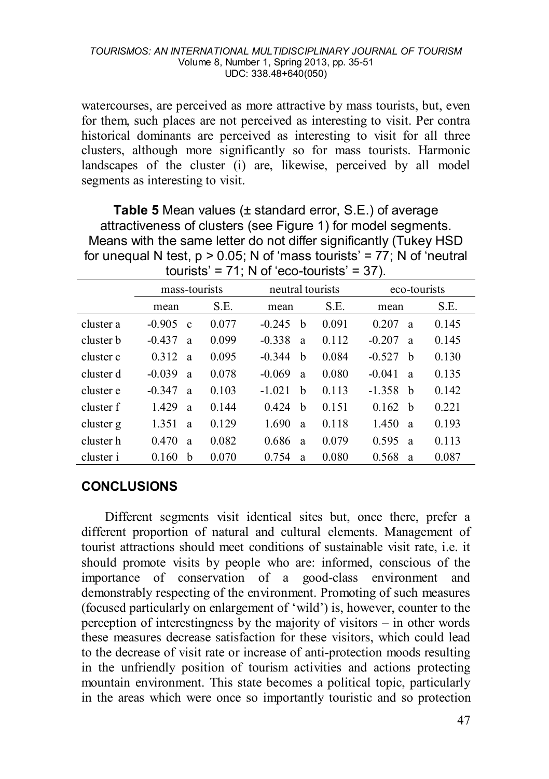watercourses, are perceived as more attractive by mass tourists, but, even for them, such places are not perceived as interesting to visit. Per contra historical dominants are perceived as interesting to visit for all three clusters, although more significantly so for mass tourists. Harmonic landscapes of the cluster (i) are, likewise, perceived by all model segments as interesting to visit.

**Table 5** Mean values (± standard error, S.E.) of average attractiveness of clusters (see Figure 1) for model segments. Means with the same letter do not differ significantly (Tukey HSD for unequal N test,  $p > 0.05$ ; N of 'mass tourists' = 77; N of 'neutral tourists' =  $71$ : N of 'eco-tourists' =  $37$ ).

|           | mass-tourists           |         | neutral tourists |       | eco-tourists          |       |  |
|-----------|-------------------------|---------|------------------|-------|-----------------------|-------|--|
|           | mean                    | S.E.    | mean             | S.E.  | mean                  | S.E.  |  |
| cluster a | $-0.905$<br>$\mathbf c$ | 0.077   | $-0.245$<br>h    | 0.091 | 0.207<br>a            | 0.145 |  |
| cluster b | $-0.437$<br>a           | 0.099   | $-0.338$<br>a    | 0.112 | $-0.207$<br>a         | 0.145 |  |
| cluster c | 0.312<br>a              | 0.095   | b<br>$-0.344$    | 0.084 | $-0.527$<br>b         | 0.130 |  |
| cluster d | $-0.039$<br>a           | 0.078   | $-0.069$<br>a    | 0.080 | $-0.041$<br>a         | 0.135 |  |
| cluster e | $-0.347$<br>a           | 0.103   | $-1.021$<br>b    | 0.113 | $-1.358$<br>h         | 0.142 |  |
| cluster f | 1429<br>a               | 0 1 4 4 | 0.424<br>h       | 0.151 | 0.162<br><sub>b</sub> | 0.221 |  |
| cluster g | 1.351<br>a              | 0.129   | 1690<br>a        | 0.118 | 1.450<br>a            | 0.193 |  |
| cluster h | 0.470<br>a              | 0.082   | 0.686<br>a       | 0.079 | 0.595<br>a            | 0.113 |  |
| cluster i | h<br>0.160              | 0.070   | 0.754<br>a       | 0.080 | 0.568<br>a            | 0.087 |  |

# **CONCLUSIONS**

Different segments visit identical sites but, once there, prefer a different proportion of natural and cultural elements. Management of tourist attractions should meet conditions of sustainable visit rate, i.e. it should promote visits by people who are: informed, conscious of the importance of conservation of a good-class environment and demonstrably respecting of the environment. Promoting of such measures (focused particularly on enlargement of 'wild') is, however, counter to the perception of interestingness by the majority of visitors  $-$  in other words these measures decrease satisfaction for these visitors, which could lead to the decrease of visit rate or increase of anti-protection moods resulting in the unfriendly position of tourism activities and actions protecting mountain environment. This state becomes a political topic, particularly in the areas which were once so importantly touristic and so protection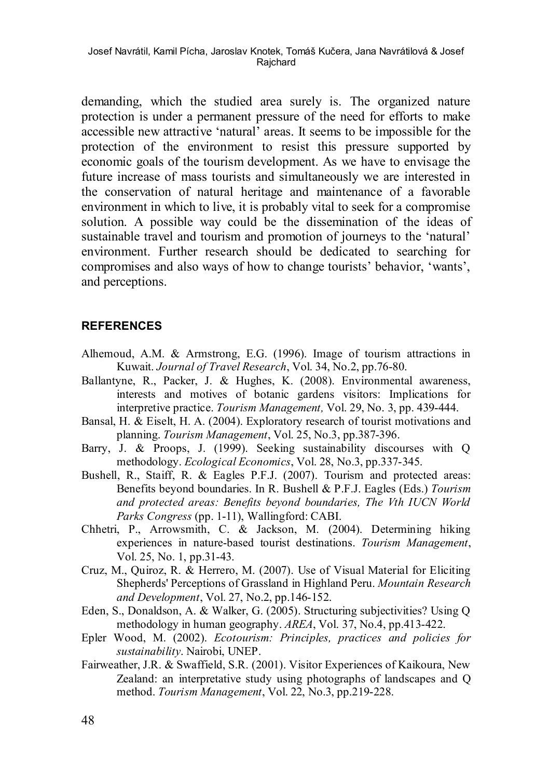demanding, which the studied area surely is. The organized nature protection is under a permanent pressure of the need for efforts to make accessible new attractive 'natural' areas. It seems to be impossible for the protection of the environment to resist this pressure supported by economic goals of the tourism development. As we have to envisage the future increase of mass tourists and simultaneously we are interested in the conservation of natural heritage and maintenance of a favorable environment in which to live, it is probably vital to seek for a compromise solution. A possible way could be the dissemination of the ideas of sustainable travel and tourism and promotion of journeys to the 'natural' environment. Further research should be dedicated to searching for compromises and also ways of how to change tourists' behavior, 'wants', and perceptions.

### **REFERENCES**

- Alhemoud, A.M. & Armstrong, E.G. (1996). Image of tourism attractions in Kuwait. *Journal of Travel Research*, Vol. 34, No.2, pp.76-80.
- Ballantyne, R., Packer, J. & Hughes, K. (2008). Environmental awareness, interests and motives of botanic gardens visitors: Implications for interpretive practice. *Tourism Management,* Vol. 29, No. 3, pp. 439-444.
- Bansal, H. & Eiselt, H. A. (2004). Exploratory research of tourist motivations and planning. *Tourism Management*, Vol. 25, No.3, pp.387-396.
- Barry, J. & Proops, J. (1999). Seeking sustainability discourses with Q methodology. *Ecological Economics*, Vol. 28, No.3, pp.337-345.
- Bushell, R., Staiff, R. & Eagles P.F.J. (2007). Tourism and protected areas: Benefits beyond boundaries. In R. Bushell & P.F.J. Eagles (Eds.) *Tourism and protected areas: Benefits beyond boundaries, The Vth IUCN World Parks Congress* (pp. 1-11), Wallingford: CABI.
- Chhetri, P., Arrowsmith, C. & Jackson, M. (2004). Determining hiking experiences in nature-based tourist destinations. *Tourism Management*, Vol. 25, No. 1, pp.31-43.
- Cruz, M., Quiroz, R. & Herrero, M. (2007). Use of Visual Material for Eliciting Shepherds' Perceptions of Grassland in Highland Peru. *Mountain Research and Development*, Vol. 27, No.2, pp.146-152.
- Eden, S., Donaldson, A. & Walker, G. (2005). Structuring subjectivities? Using Q methodology in human geography. *AREA*, Vol. 37, No.4, pp.413-422.
- Epler Wood, M. (2002). *Ecotourism: Principles, practices and policies for sustainability*. Nairobi, UNEP.
- Fairweather, J.R. & Swaffield, S.R. (2001). Visitor Experiences of Kaikoura, New Zealand: an interpretative study using photographs of landscapes and Q method. *Tourism Management*, Vol. 22, No.3, pp.219-228.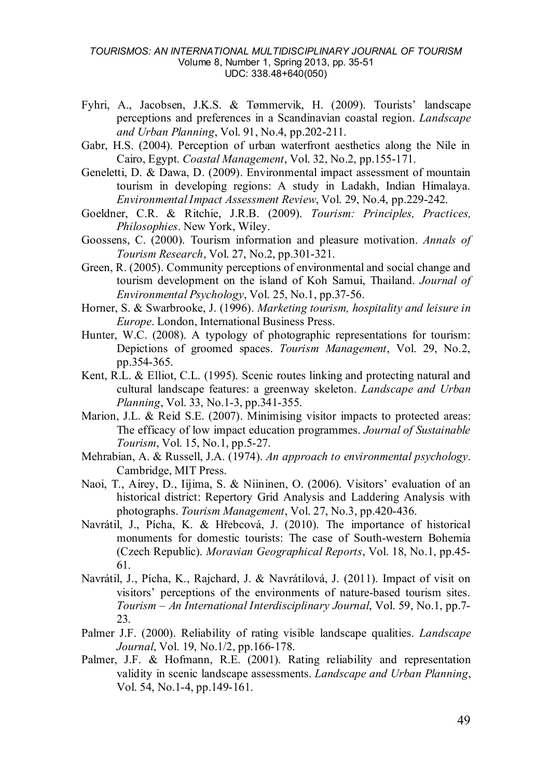- Fyhri, A., Jacobsen, J.K.S. & Tømmervik, H. (2009). Tourists' landscape perceptions and preferences in a Scandinavian coastal region. *Landscape and Urban Planning*, Vol. 91, No.4, pp.202-211.
- Gabr, H.S. (2004). Perception of urban waterfront aesthetics along the Nile in Cairo, Egypt. *Coastal Management*, Vol. 32, No.2, pp.155-171.
- Geneletti, D. & Dawa, D. (2009). Environmental impact assessment of mountain tourism in developing regions: A study in Ladakh, Indian Himalaya. *Environmental Impact Assessment Review*, Vol. 29, No.4, pp.229-242.
- Goeldner, C.R. & Ritchie, J.R.B. (2009). *Tourism: Principles, Practices, Philosophies*. New York, Wiley.
- Goossens, C. (2000). Tourism information and pleasure motivation. *Annals of Tourism Research*, Vol. 27, No.2, pp.301-321.
- Green, R. (2005). Community perceptions of environmental and social change and tourism development on the island of Koh Samui, Thailand. *Journal of Environmental Psychology*, Vol. 25, No.1, pp.37-56.
- Horner, S. & Swarbrooke, J. (1996). *Marketing tourism, hospitality and leisure in Europe*. London, International Business Press.
- Hunter, W.C. (2008). A typology of photographic representations for tourism: Depictions of groomed spaces. *Tourism Management*, Vol. 29, No.2, pp.354-365.
- Kent, R.L. & Elliot, C.L. (1995). Scenic routes linking and protecting natural and cultural landscape features: a greenway skeleton. *Landscape and Urban Planning*, Vol. 33, No.1-3, pp.341-355.
- Marion, J.L. & Reid S.E. (2007). Minimising visitor impacts to protected areas: The efficacy of low impact education programmes. *Journal of Sustainable Tourism*, Vol. 15, No.1, pp.5-27.
- Mehrabian, A. & Russell, J.A. (1974). *An approach to environmental psychology*. Cambridge, MIT Press.
- Naoi, T., Airey, D., Iijima, S. & Niininen, O. (2006). Visitors' evaluation of an historical district: Repertory Grid Analysis and Laddering Analysis with photographs. *Tourism Management*, Vol. 27, No.3, pp.420-436.
- Navrátil, J., Pícha, K. & Hřebcová, J. (2010). The importance of historical monuments for domestic tourists: The case of South-western Bohemia (Czech Republic). *Moravian Geographical Reports*, Vol. 18, No.1, pp.45- 61.
- Navrátil, J., Pícha, K., Rajchard, J. & Navrátilová, J. (2011). Impact of visit on visitors' perceptions of the environments of nature-based tourism sites. *Tourism – An International Interdisciplinary Journal*, Vol. 59, No.1, pp.7- 23.
- Palmer J.F. (2000). Reliability of rating visible landscape qualities. *Landscape Journal*, Vol. 19, No.1/2, pp.166-178.
- Palmer, J.F. & Hofmann, R.E. (2001). Rating reliability and representation validity in scenic landscape assessments. *Landscape and Urban Planning*, Vol. 54, No.1-4, pp.149-161.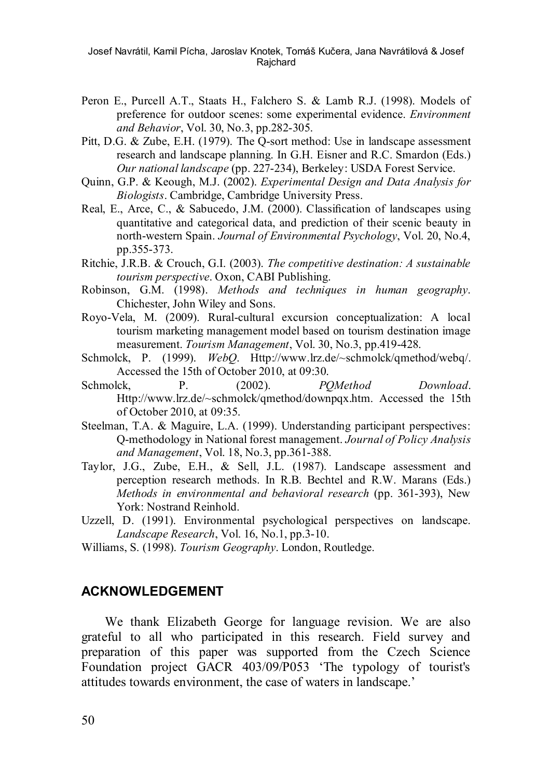Josef Navrátil, Kamil Pícha, Jaroslav Knotek, Tomáš Kučera, Jana Navrátilová & Josef Rajchard

- Peron E., Purcell A.T., Staats H., Falchero S. & Lamb R.J. (1998). Models of preference for outdoor scenes: some experimental evidence. *Environment and Behavior*, Vol. 30, No.3, pp.282-305.
- Pitt, D.G. & Zube, E.H. (1979). The Q-sort method: Use in landscape assessment research and landscape planning. In G.H. Eisner and R.C. Smardon (Eds.) *Our national landscape* (pp. 227-234), Berkeley: USDA Forest Service.
- Quinn, G.P. & Keough, M.J. (2002). *Experimental Design and Data Analysis for Biologists*. Cambridge, Cambridge University Press.
- Real, E., Arce, C., & Sabucedo, J.M. (2000). Classification of landscapes using quantitative and categorical data, and prediction of their scenic beauty in north-western Spain. *Journal of Environmental Psychology*, Vol. 20, No.4, pp.355-373.
- Ritchie, J.R.B. & Crouch, G.I. (2003). *The competitive destination: A sustainable tourism perspective*. Oxon, CABI Publishing.
- Robinson, G.M. (1998). *Methods and techniques in human geography*. Chichester, John Wiley and Sons.
- Royo-Vela, M. (2009). Rural-cultural excursion conceptualization: A local tourism marketing management model based on tourism destination image measurement. *Tourism Management*, Vol. 30, No.3, pp.419-428.
- Schmolck, P. (1999). *WebQ*. Http://www.lrz.de/~schmolck/qmethod/webq/. Accessed the 15th of October 2010, at 09:30.
- Schmolck, P. (2002). *POMethod Download*. Http://www.lrz.de/~schmolck/qmethod/downpqx.htm. Accessed the 15th of October 2010, at 09:35.
- Steelman, T.A. & Maguire, L.A. (1999). Understanding participant perspectives: Q-methodology in National forest management. *Journal of Policy Analysis and Management*, Vol. 18, No.3, pp.361-388.
- Taylor, J.G., Zube, E.H., & Sell, J.L. (1987). Landscape assessment and perception research methods. In R.B. Bechtel and R.W. Marans (Eds.) *Methods in environmental and behavioral research* (pp. 361-393), New York: Nostrand Reinhold.
- Uzzell, D. (1991). Environmental psychological perspectives on landscape. *Landscape Research*, Vol. 16, No.1, pp.3-10.
- Williams, S. (1998). *Tourism Geography*. London, Routledge.

#### **ACKNOWLEDGEMENT**

We thank Elizabeth George for language revision. We are also grateful to all who participated in this research. Field survey and preparation of this paper was supported from the Czech Science Foundation project GACR 403/09/P053 'The typology of tourist's attitudes towards environment, the case of waters in landscape.'